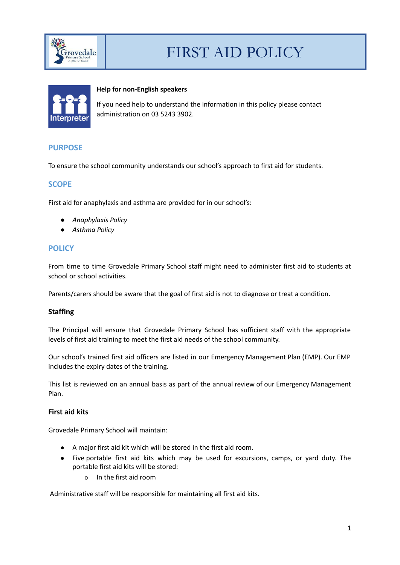



### **Help for non-English speakers**

If you need help to understand the information in this policy please contact administration on 03 5243 3902.

# **PURPOSE**

To ensure the school community understands our school's approach to first aid for students.

# **SCOPE**

First aid for anaphylaxis and asthma are provided for in our school's:

- *● Anaphylaxis Policy*
- *Asthma Policy*

# **POLICY**

From time to time Grovedale Primary School staff might need to administer first aid to students at school or school activities.

Parents/carers should be aware that the goal of first aid is not to diagnose or treat a condition.

#### **Staffing**

The Principal will ensure that Grovedale Primary School has sufficient staff with the appropriate levels of first aid training to meet the first aid needs of the school community.

Our school's trained first aid officers are listed in our Emergency Management Plan (EMP). Our EMP includes the expiry dates of the training.

This list is reviewed on an annual basis as part of the annual review of our Emergency Management Plan.

### **First aid kits**

Grovedale Primary School will maintain:

- A major first aid kit which will be stored in the first aid room.
- Five portable first aid kits which may be used for excursions, camps, or yard duty. The portable first aid kits will be stored:
	- o In the first aid room

Administrative staff will be responsible for maintaining all first aid kits.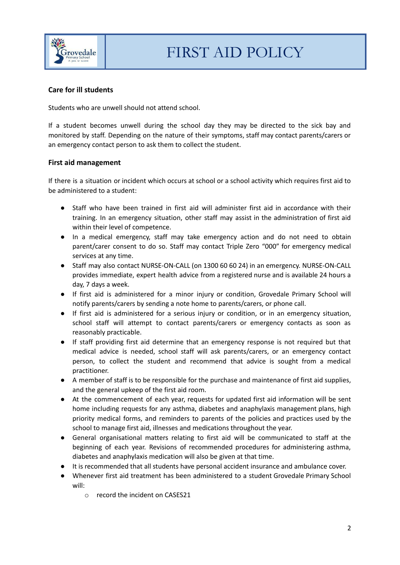

# **Care for ill students**

Students who are unwell should not attend school.

If a student becomes unwell during the school day they may be directed to the sick bay and monitored by staff. Depending on the nature of their symptoms, staff may contact parents/carers or an emergency contact person to ask them to collect the student.

### **First aid management**

If there is a situation or incident which occurs at school or a school activity which requires first aid to be administered to a student:

- Staff who have been trained in first aid will administer first aid in accordance with their training. In an emergency situation, other staff may assist in the administration of first aid within their level of competence.
- In a medical emergency, staff may take emergency action and do not need to obtain parent/carer consent to do so. Staff may contact Triple Zero "000" for emergency medical services at any time.
- Staff may also contact NURSE-ON-CALL (on 1300 60 60 24) in an emergency. NURSE-ON-CALL provides immediate, expert health advice from a registered nurse and is available 24 hours a day, 7 days a week.
- If first aid is administered for a minor injury or condition, Grovedale Primary School will notify parents/carers by sending a note home to parents/carers, or phone call.
- If first aid is administered for a serious injury or condition, or in an emergency situation, school staff will attempt to contact parents/carers or emergency contacts as soon as reasonably practicable.
- If staff providing first aid determine that an emergency response is not required but that medical advice is needed, school staff will ask parents/carers, or an emergency contact person, to collect the student and recommend that advice is sought from a medical practitioner.
- A member of staff is to be responsible for the purchase and maintenance of first aid supplies, and the general upkeep of the first aid room.
- At the commencement of each year, requests for updated first aid information will be sent home including requests for any asthma, diabetes and anaphylaxis management plans, high priority medical forms, and reminders to parents of the policies and practices used by the school to manage first aid, illnesses and medications throughout the year.
- General organisational matters relating to first aid will be communicated to staff at the beginning of each year. Revisions of recommended procedures for administering asthma, diabetes and anaphylaxis medication will also be given at that time.
- It is recommended that all students have personal accident insurance and ambulance cover.
- Whenever first aid treatment has been administered to a student Grovedale Primary School will:
	- o record the incident on CASES21